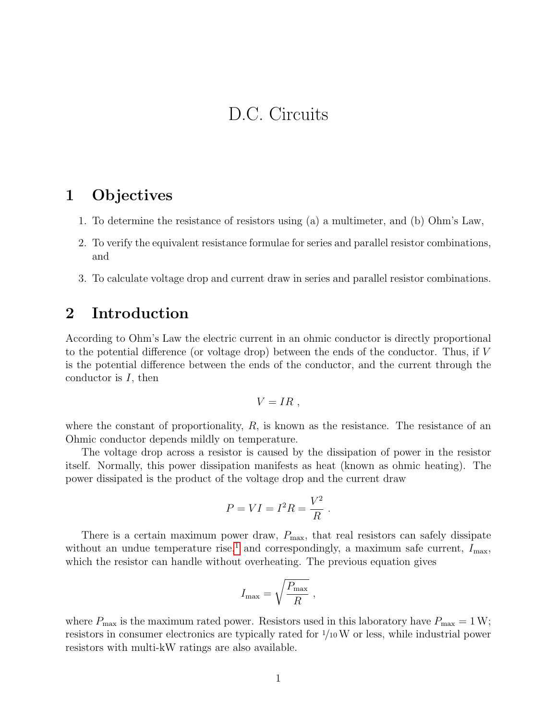# D.C. Circuits

### 1 Objectives

- 1. To determine the resistance of resistors using (a) a multimeter, and (b) Ohm's Law,
- 2. To verify the equivalent resistance formulae for series and parallel resistor combinations, and
- 3. To calculate voltage drop and current draw in series and parallel resistor combinations.

### 2 Introduction

According to Ohm's Law the electric current in an ohmic conductor is directly proportional to the potential difference (or voltage drop) between the ends of the conductor. Thus, if V is the potential difference between the ends of the conductor, and the current through the conductor is I, then

$$
V=IR,
$$

where the constant of proportionality,  $R$ , is known as the resistance. The resistance of an Ohmic conductor depends mildly on temperature.

The voltage drop across a resistor is caused by the dissipation of power in the resistor itself. Normally, this power dissipation manifests as heat (known as ohmic heating). The power dissipated is the product of the voltage drop and the current draw

$$
P = VI = I^2 R = \frac{V^2}{R}.
$$

There is a certain maximum power draw,  $P_{\text{max}}$ , that real resistors can safely dissipate without an undue temperature rise,<sup>[1](#page-2-0)</sup> and correspondingly, a maximum safe current,  $I_{\text{max}}$ , which the resistor can handle without overheating. The previous equation gives

$$
I_{\max} = \sqrt{\frac{P_{\max}}{R}} ,
$$

where  $P_{\text{max}}$  is the maximum rated power. Resistors used in this laboratory have  $P_{\text{max}} = 1 \,\text{W}$ ; resistors in consumer electronics are typically rated for <sup>1</sup>/10W or less, while industrial power resistors with multi-kW ratings are also available.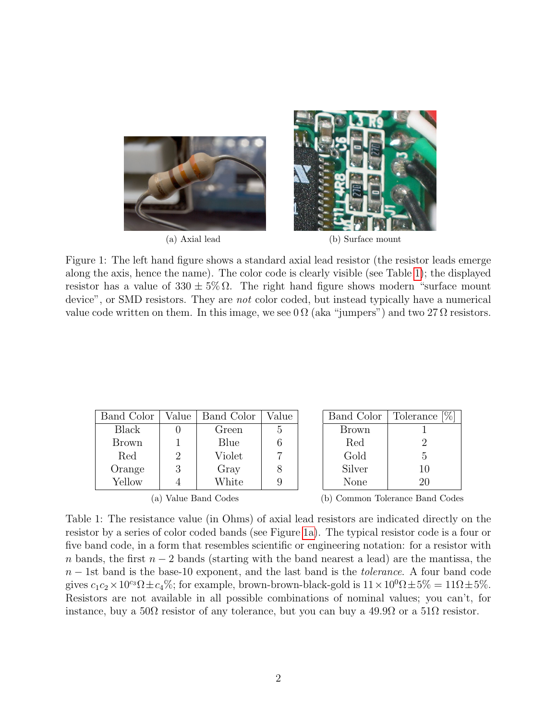<span id="page-1-1"></span>

(a) Axial lead (b) Surface mount

Figure 1: The left hand figure shows a standard axial lead resistor (the resistor leads emerge along the axis, hence the name). The color code is clearly visible (see Table [1\)](#page-1-0); the displayed resistor has a value of  $330 \pm 5\% \Omega$ . The right hand figure shows modern "surface mount" device", or SMD resistors. They are *not* color coded, but instead typically have a numerical value code written on them. In this image, we see  $0\Omega$  (aka "jumpers") and two 27  $\Omega$  resistors.

<span id="page-1-0"></span>

| Band Color   | Value | Band Color | Value |
|--------------|-------|------------|-------|
| Black        |       | Green      | h.    |
| <b>Brown</b> |       | Blue       |       |
| Red          | 2     | Violet     |       |
| Orange       | 3     | Gray       |       |
| Yellow       |       | White      |       |

(a) Value Band Codes (b) Common Tolerance Band Codes

Band Color | Tolerance [%] Brown 1 Red 2 Gold 5 Silver | 10 None 20

Table 1: The resistance value (in Ohms) of axial lead resistors are indicated directly on the resistor by a series of color coded bands (see Figure [1a\)](#page-1-1). The typical resistor code is a four or five band code, in a form that resembles scientific or engineering notation: for a resistor with n bands, the first  $n-2$  bands (starting with the band nearest a lead) are the mantissa, the  $n-1$ st band is the base-10 exponent, and the last band is the *tolerance*. A four band code gives  $c_1c_2\times10^{c_3}\Omega \pm c_4\%$ ; for example, brown-brown-black-gold is  $11\times10^{0}\Omega \pm 5\% = 11\Omega \pm 5\%$ . Resistors are not available in all possible combinations of nominal values; you can't, for instance, buy a  $50\Omega$  resistor of any tolerance, but you can buy a  $49.9\Omega$  or a  $51\Omega$  resistor.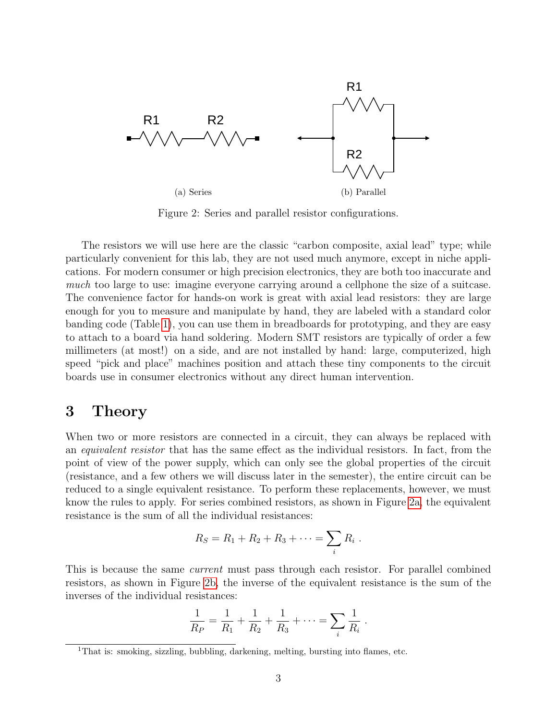<span id="page-2-1"></span>

<span id="page-2-2"></span>Figure 2: Series and parallel resistor configurations.

The resistors we will use here are the classic "carbon composite, axial lead" type; while particularly convenient for this lab, they are not used much anymore, except in niche applications. For modern consumer or high precision electronics, they are both too inaccurate and much too large to use: imagine everyone carrying around a cellphone the size of a suitcase. The convenience factor for hands-on work is great with axial lead resistors: they are large enough for you to measure and manipulate by hand, they are labeled with a standard color banding code (Table [1\)](#page-1-0), you can use them in breadboards for prototyping, and they are easy to attach to a board via hand soldering. Modern SMT resistors are typically of order a few millimeters (at most!) on a side, and are not installed by hand: large, computerized, high speed "pick and place" machines position and attach these tiny components to the circuit boards use in consumer electronics without any direct human intervention.

### 3 Theory

When two or more resistors are connected in a circuit, they can always be replaced with an equivalent resistor that has the same effect as the individual resistors. In fact, from the point of view of the power supply, which can only see the global properties of the circuit (resistance, and a few others we will discuss later in the semester), the entire circuit can be reduced to a single equivalent resistance. To perform these replacements, however, we must know the rules to apply. For series combined resistors, as shown in Figure [2a,](#page-2-1) the equivalent resistance is the sum of all the individual resistances:

$$
R_S = R_1 + R_2 + R_3 + \cdots = \sum_i R_i \; .
$$

This is because the same *current* must pass through each resistor. For parallel combined resistors, as shown in Figure [2b,](#page-2-2) the inverse of the equivalent resistance is the sum of the inverses of the individual resistances:

$$
\frac{1}{R_P} = \frac{1}{R_1} + \frac{1}{R_2} + \frac{1}{R_3} + \dots = \sum_i \frac{1}{R_i}.
$$

<span id="page-2-0"></span><sup>&</sup>lt;sup>1</sup>That is: smoking, sizzling, bubbling, darkening, melting, bursting into flames, etc.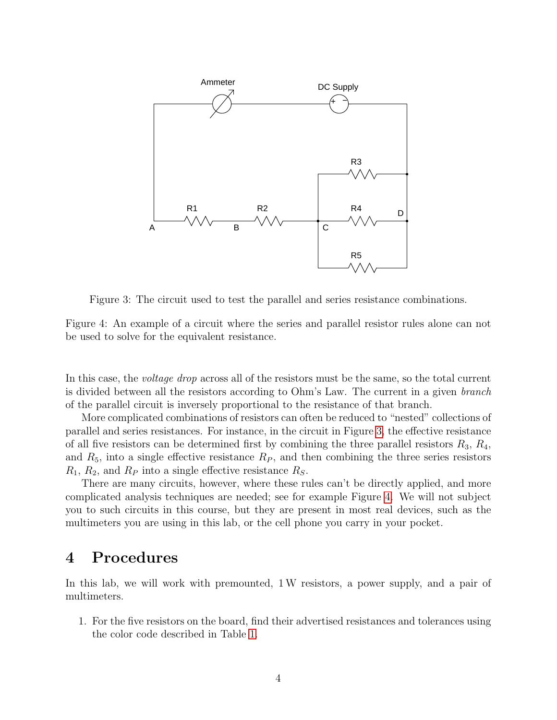<span id="page-3-0"></span>

Figure 3: The circuit used to test the parallel and series resistance combinations.

<span id="page-3-1"></span>Figure 4: An example of a circuit where the series and parallel resistor rules alone can not be used to solve for the equivalent resistance.

In this case, the *voltage drop* across all of the resistors must be the same, so the total current is divided between all the resistors according to Ohm's Law. The current in a given branch of the parallel circuit is inversely proportional to the resistance of that branch.

More complicated combinations of resistors can often be reduced to "nested" collections of parallel and series resistances. For instance, in the circuit in Figure [3,](#page-3-0) the effective resistance of all five resistors can be determined first by combining the three parallel resistors  $R_3, R_4$ , and  $R_5$ , into a single effective resistance  $R_P$ , and then combining the three series resistors  $R_1, R_2$ , and  $R_P$  into a single effective resistance  $R_S$ .

There are many circuits, however, where these rules can't be directly applied, and more complicated analysis techniques are needed; see for example Figure [4.](#page-3-1) We will not subject you to such circuits in this course, but they are present in most real devices, such as the multimeters you are using in this lab, or the cell phone you carry in your pocket.

#### 4 Procedures

In this lab, we will work with premounted, 1W resistors, a power supply, and a pair of multimeters.

1. For the five resistors on the board, find their advertised resistances and tolerances using the color code described in Table [1.](#page-1-0)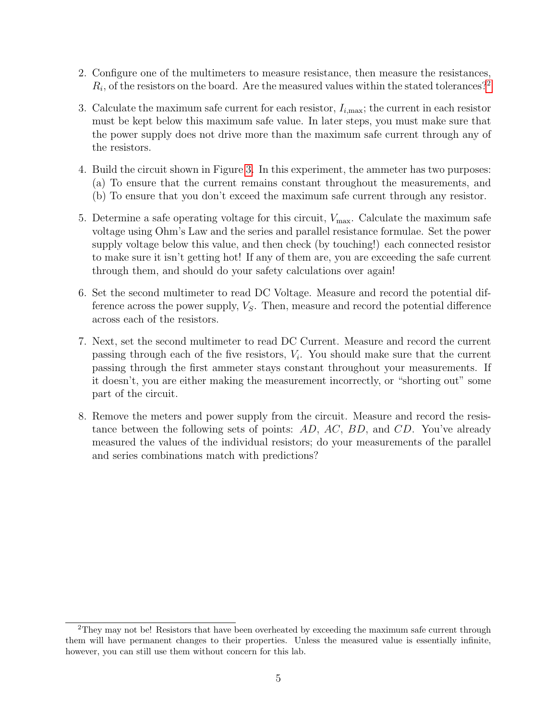- 2. Configure one of the multimeters to measure resistance, then measure the resistances,  $R_i$ , of the resistors on the board. Are the measured values within the stated tolerances?<sup>[2](#page-4-0)</sup>
- 3. Calculate the maximum safe current for each resistor,  $I_{i,\text{max}}$ ; the current in each resistor must be kept below this maximum safe value. In later steps, you must make sure that the power supply does not drive more than the maximum safe current through any of the resistors.
- 4. Build the circuit shown in Figure [3.](#page-3-0) In this experiment, the ammeter has two purposes: (a) To ensure that the current remains constant throughout the measurements, and (b) To ensure that you don't exceed the maximum safe current through any resistor.
- 5. Determine a safe operating voltage for this circuit,  $V_{\text{max}}$ . Calculate the maximum safe voltage using Ohm's Law and the series and parallel resistance formulae. Set the power supply voltage below this value, and then check (by touching!) each connected resistor to make sure it isn't getting hot! If any of them are, you are exceeding the safe current through them, and should do your safety calculations over again!
- 6. Set the second multimeter to read DC Voltage. Measure and record the potential difference across the power supply,  $V<sub>S</sub>$ . Then, measure and record the potential difference across each of the resistors.
- 7. Next, set the second multimeter to read DC Current. Measure and record the current passing through each of the five resistors,  $V_i$ . You should make sure that the current passing through the first ammeter stays constant throughout your measurements. If it doesn't, you are either making the measurement incorrectly, or "shorting out" some part of the circuit.
- 8. Remove the meters and power supply from the circuit. Measure and record the resistance between the following sets of points: AD, AC, BD, and CD. You've already measured the values of the individual resistors; do your measurements of the parallel and series combinations match with predictions?

<span id="page-4-0"></span><sup>&</sup>lt;sup>2</sup>They may not be! Resistors that have been overheated by exceeding the maximum safe current through them will have permanent changes to their properties. Unless the measured value is essentially infinite, however, you can still use them without concern for this lab.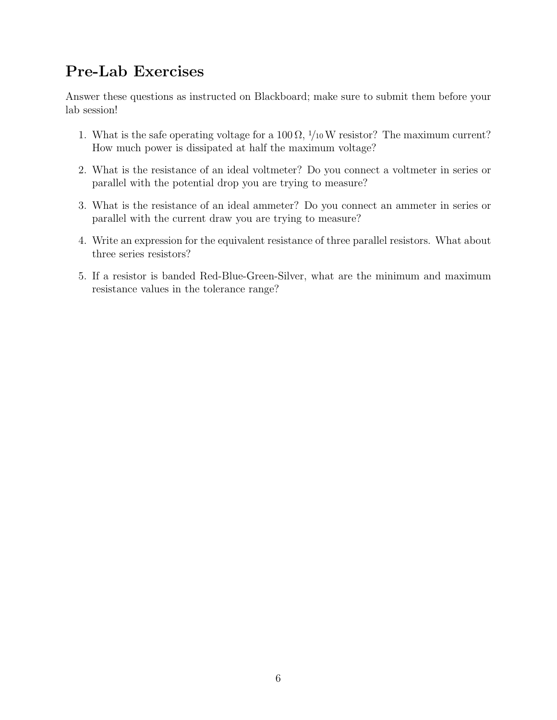# Pre-Lab Exercises

Answer these questions as instructed on Blackboard; make sure to submit them before your lab session!

- 1. What is the safe operating voltage for a  $100 \Omega$ ,  $1/10 W$  resistor? The maximum current? How much power is dissipated at half the maximum voltage?
- 2. What is the resistance of an ideal voltmeter? Do you connect a voltmeter in series or parallel with the potential drop you are trying to measure?
- 3. What is the resistance of an ideal ammeter? Do you connect an ammeter in series or parallel with the current draw you are trying to measure?
- 4. Write an expression for the equivalent resistance of three parallel resistors. What about three series resistors?
- 5. If a resistor is banded Red-Blue-Green-Silver, what are the minimum and maximum resistance values in the tolerance range?